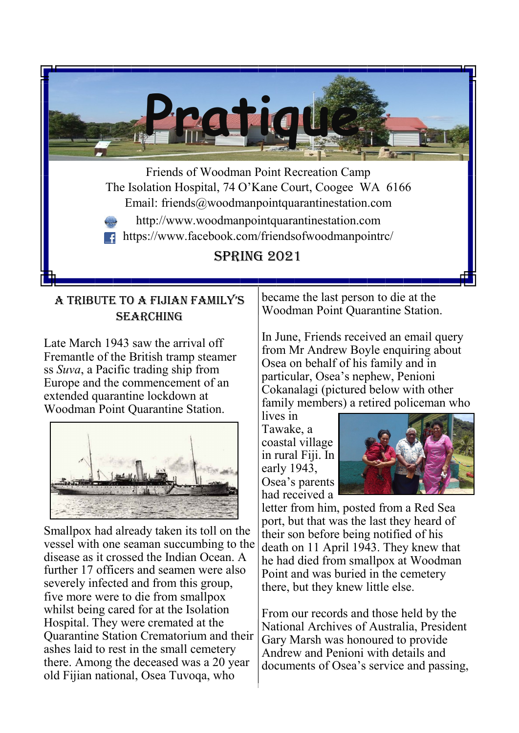

# A tribute to A FijiAn FAmily's **SEARCHING**

Late March 1943 saw the arrival off Fremantle of the British tramp steamer ss *Suva*, a Pacific trading ship from Europe and the commencement of an extended quarantine lockdown at Woodman Point Quarantine Station.



Smallpox had already taken its toll on the vessel with one seaman succumbing to the disease as it crossed the Indian Ocean. A further 17 officers and seamen were also severely infected and from this group, five more were to die from smallpox whilst being cared for at the Isolation Hospital. They were cremated at the Quarantine Station Crematorium and their ashes laid to rest in the small cemetery there. Among the deceased was a 20 year old Fijian national, Osea Tuvoqa, who

became the last person to die at the Woodman Point Quarantine Station.

In June, Friends received an email query from Mr Andrew Boyle enquiring about Osea on behalf of his family and in particular, Osea's nephew, Penioni Cokanalagi (pictured below with other family members) a retired policeman who

lives in Tawake, a coastal village in rural Fiji. In early 1943, Osea's parents had received a



letter from him, posted from a Red Sea port, but that was the last they heard of their son before being notified of his death on 11 April 1943. They knew that he had died from smallpox at Woodman Point and was buried in the cemetery there, but they knew little else.

From our records and those held by the National Archives of Australia, President Gary Marsh was honoured to provide Andrew and Penioni with details and documents of Osea's service and passing,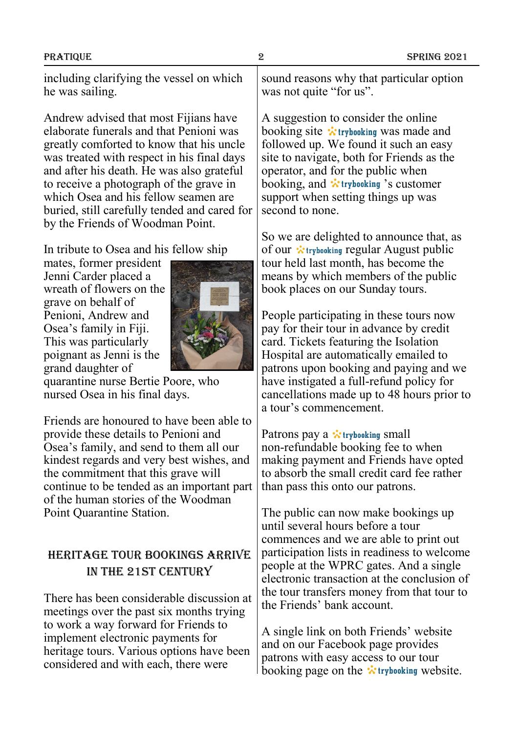including clarifying the vessel on which he was sailing.

Andrew advised that most Fijians have elaborate funerals and that Penioni was greatly comforted to know that his uncle was treated with respect in his final days and after his death. He was also grateful to receive a photograph of the grave in which Osea and his fellow seamen are buried, still carefully tended and cared for by the Friends of Woodman Point.

In tribute to Osea and his fellow ship

mates, former president Jenni Carder placed a wreath of flowers on the grave on behalf of Penioni, Andrew and Osea's family in Fiji. This was particularly poignant as Jenni is the grand daughter of



quarantine nurse Bertie Poore, who nursed Osea in his final days.

Friends are honoured to have been able to provide these details to Penioni and Osea's family, and send to them all our kindest regards and very best wishes, and the commitment that this grave will continue to be tended as an important part of the human stories of the Woodman Point Quarantine Station.

## Heritage tour bookings arrive in the 21st century

There has been considerable discussion at meetings over the past six months trying to work a way forward for Friends to implement electronic payments for heritage tours. Various options have been considered and with each, there were

sound reasons why that particular option was not quite "for us".

A suggestion to consider the online booking site  $\ddot{\cdot}$  trybooking was made and followed up. We found it such an easy site to navigate, both for Friends as the operator, and for the public when booking, and *i* trybooking 's customer support when setting things up was second to none.

So we are delighted to announce that, as of our  $\dot{\mathbf{x}}$  trybooking regular August public tour held last month, has become the means by which members of the public book places on our Sunday tours.

People participating in these tours now pay for their tour in advance by credit card. Tickets featuring the Isolation Hospital are automatically emailed to patrons upon booking and paying and we have instigated a full-refund policy for cancellations made up to 48 hours prior to a tour's commencement.

Patrons pay a  $\dot{x}$  trybooking small non-refundable booking fee to when making payment and Friends have opted to absorb the small credit card fee rather than pass this onto our patrons.

The public can now make bookings up until several hours before a tour commences and we are able to print out participation lists in readiness to welcome people at the WPRC gates. And a single electronic transaction at the conclusion of the tour transfers money from that tour to the Friends' bank account.

A single link on both Friends' website and on our Facebook page provides patrons with easy access to our tour booking page on the  $\ddot{\cdot}$  trybooking website.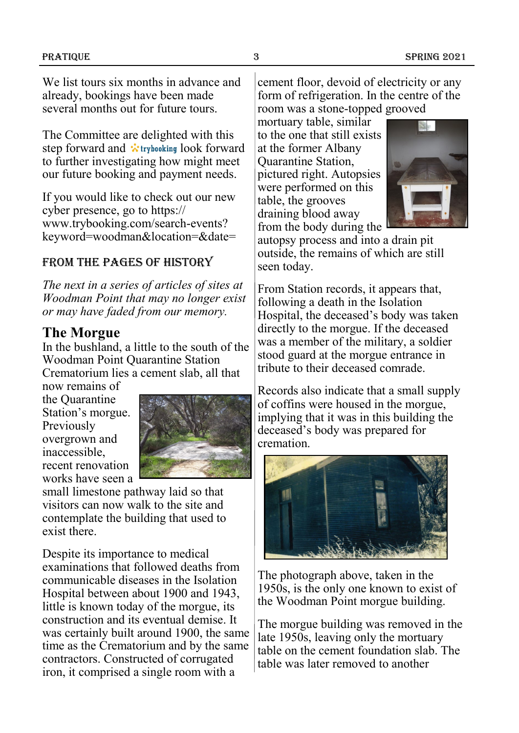We list tours six months in advance and already, bookings have been made several months out for future tours.

The Committee are delighted with this step forward and *i* trybooking look forward to further investigating how might meet our future booking and payment needs.

If you would like to check out our new cyber presence, go to https:// www.trybooking.com/search-events? keyword=woodman&location=&date=

### From the pages of history

*The next in a series of articles of sites at Woodman Point that may no longer exist or may have faded from our memory.*

## **The Morgue**

In the bushland, a little to the south of the Woodman Point Quarantine Station Crematorium lies a cement slab, all that

now remains of the Quarantine Station's morgue. Previously overgrown and inaccessible, recent renovation works have seen a



small limestone pathway laid so that visitors can now walk to the site and contemplate the building that used to exist there.

Despite its importance to medical examinations that followed deaths from communicable diseases in the Isolation Hospital between about 1900 and 1943, little is known today of the morgue, its construction and its eventual demise. It was certainly built around 1900, the same time as the Crematorium and by the same contractors. Constructed of corrugated iron, it comprised a single room with a

cement floor, devoid of electricity or any form of refrigeration. In the centre of the room was a stone-topped grooved

mortuary table, similar to the one that still exists at the former Albany Quarantine Station, pictured right. Autopsies were performed on this table, the grooves draining blood away from the body during the



autopsy process and into a drain pit outside, the remains of which are still seen today.

From Station records, it appears that, following a death in the Isolation Hospital, the deceased's body was taken directly to the morgue. If the deceased was a member of the military, a soldier stood guard at the morgue entrance in tribute to their deceased comrade.

Records also indicate that a small supply of coffins were housed in the morgue, implying that it was in this building the deceased's body was prepared for cremation.



The photograph above, taken in the 1950s, is the only one known to exist of the Woodman Point morgue building.

The morgue building was removed in the late 1950s, leaving only the mortuary table on the cement foundation slab. The table was later removed to another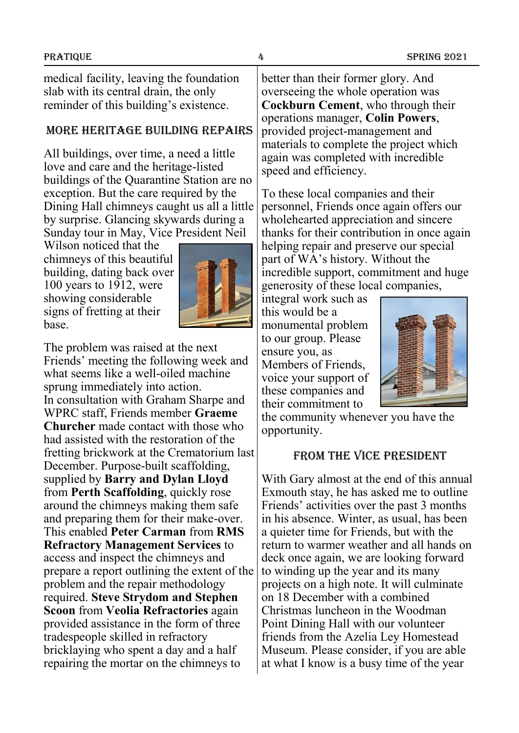medical facility, leaving the foundation slab with its central drain, the only reminder of this building's existence.

#### More Heritage building repairs

All buildings, over time, a need a little love and care and the heritage-listed buildings of the Quarantine Station are no exception. But the care required by the Dining Hall chimneys caught us all a little by surprise. Glancing skywards during a Sunday tour in May, Vice President Neil

Wilson noticed that the chimneys of this beautiful building, dating back over 100 years to 1912, were showing considerable signs of fretting at their base.



The problem was raised at the next Friends' meeting the following week and what seems like a well-oiled machine sprung immediately into action. In consultation with Graham Sharpe and WPRC staff, Friends member **Graeme Churcher** made contact with those who had assisted with the restoration of the fretting brickwork at the Crematorium last December. Purpose-built scaffolding, supplied by **Barry and Dylan Lloyd** from **Perth Scaffolding**, quickly rose around the chimneys making them safe and preparing them for their make-over. This enabled **Peter Carman** from **RMS Refractory Management Services** to access and inspect the chimneys and prepare a report outlining the extent of the problem and the repair methodology required. **Steve Strydom and Stephen Scoon** from **Veolia Refractories** again provided assistance in the form of three tradespeople skilled in refractory bricklaying who spent a day and a half repairing the mortar on the chimneys to

better than their former glory. And overseeing the whole operation was **Cockburn Cement**, who through their operations manager, **Colin Powers**, provided project-management and materials to complete the project which again was completed with incredible speed and efficiency.

To these local companies and their personnel, Friends once again offers our wholehearted appreciation and sincere thanks for their contribution in once again helping repair and preserve our special part of WA's history. Without the incredible support, commitment and huge generosity of these local companies,

integral work such as this would be a monumental problem to our group. Please ensure you, as Members of Friends, voice your support of these companies and their commitment to



the community whenever you have the opportunity.

#### From The vice President

With Gary almost at the end of this annual Exmouth stay, he has asked me to outline Friends' activities over the past 3 months in his absence. Winter, as usual, has been a quieter time for Friends, but with the return to warmer weather and all hands on deck once again, we are looking forward to winding up the year and its many projects on a high note. It will culminate on 18 December with a combined Christmas luncheon in the Woodman Point Dining Hall with our volunteer friends from the Azelia Ley Homestead Museum. Please consider, if you are able at what I know is a busy time of the year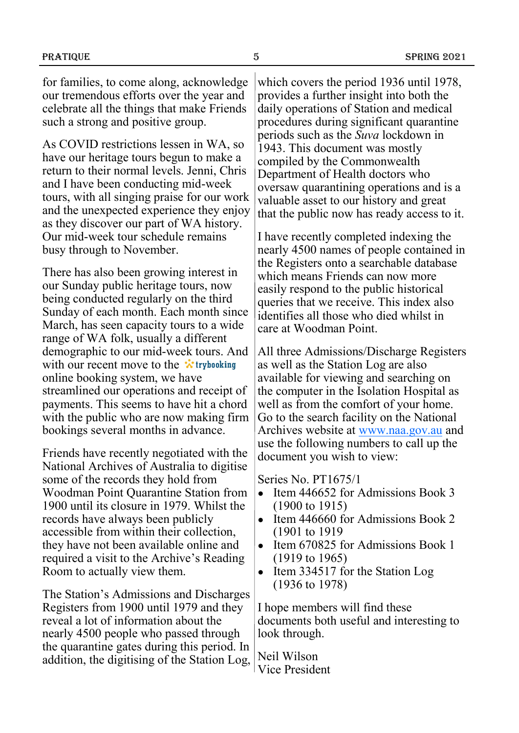for families, to come along, acknowledge our tremendous efforts over the year and celebrate all the things that make Friends such a strong and positive group.

As COVID restrictions lessen in WA, so have our heritage tours begun to make a return to their normal levels. Jenni, Chris and I have been conducting mid-week tours, with all singing praise for our work and the unexpected experience they enjoy as they discover our part of WA history. Our mid-week tour schedule remains busy through to November.

There has also been growing interest in our Sunday public heritage tours, now being conducted regularly on the third Sunday of each month. Each month since March, has seen capacity tours to a wide range of WA folk, usually a different demographic to our mid-week tours. And with our recent move to the  $\ddot{\cdot}$  trybooking online booking system, we have streamlined our operations and receipt of payments. This seems to have hit a chord with the public who are now making firm bookings several months in advance.

Friends have recently negotiated with the National Archives of Australia to digitise some of the records they hold from Woodman Point Quarantine Station from 1900 until its closure in 1979. Whilst the records have always been publicly accessible from within their collection, they have not been available online and required a visit to the Archive's Reading Room to actually view them.

The Station's Admissions and Discharges Registers from 1900 until 1979 and they reveal a lot of information about the nearly 4500 people who passed through the quarantine gates during this period. In addition, the digitising of the Station Log, which covers the period 1936 until 1978, provides a further insight into both the daily operations of Station and medical procedures during significant quarantine periods such as the *Suva* lockdown in 1943. This document was mostly compiled by the Commonwealth Department of Health doctors who oversaw quarantining operations and is a valuable asset to our history and great that the public now has ready access to it.

I have recently completed indexing the nearly 4500 names of people contained in the Registers onto a searchable database which means Friends can now more easily respond to the public historical queries that we receive. This index also identifies all those who died whilst in care at Woodman Point.

All three Admissions/Discharge Registers as well as the Station Log are also available for viewing and searching on the computer in the Isolation Hospital as well as from the comfort of your home. Go to the search facility on the National Archives website at [www.naa.gov.au](http://www.naa.gov.au) and use the following numbers to call up the document you wish to view:

Series No. PT1675/1

- Item 446652 for Admissions Book 3 (1900 to 1915)
- Item 446660 for Admissions Book 2 (1901 to 1919
- Item 670825 for Admissions Book 1 (1919 to 1965)
- Item 334517 for the Station Log (1936 to 1978)

I hope members will find these documents both useful and interesting to look through.

Neil Wilson Vice President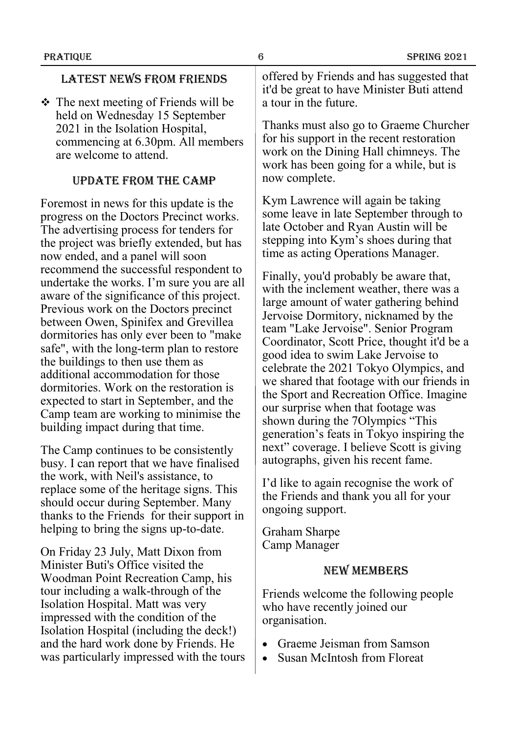#### Latest news from Friends

❖ The next meeting of Friends will be held on Wednesday 15 September 2021 in the Isolation Hospital, commencing at 6.30pm. All members are welcome to attend.

#### Update FROM the camp

Foremost in news for this update is the progress on the Doctors Precinct works. The advertising process for tenders for the project was briefly extended, but has now ended, and a panel will soon recommend the successful respondent to undertake the works. I'm sure you are all aware of the significance of this project. Previous work on the Doctors precinct between Owen, Spinifex and Grevillea dormitories has only ever been to "make safe", with the long-term plan to restore the buildings to then use them as additional accommodation for those dormitories. Work on the restoration is expected to start in September, and the Camp team are working to minimise the building impact during that time.

The Camp continues to be consistently busy. I can report that we have finalised the work, with Neil's assistance, to replace some of the heritage signs. This should occur during September. Many thanks to the Friends for their support in helping to bring the signs up-to-date.

On Friday 23 July, Matt Dixon from Minister Buti's Office visited the Woodman Point Recreation Camp, his tour including a walk-through of the Isolation Hospital. Matt was very impressed with the condition of the Isolation Hospital (including the deck!) and the hard work done by Friends. He was particularly impressed with the tours offered by Friends and has suggested that it'd be great to have Minister Buti attend a tour in the future.

Thanks must also go to Graeme Churcher for his support in the recent restoration work on the Dining Hall chimneys. The work has been going for a while, but is now complete.

Kym Lawrence will again be taking some leave in late September through to late October and Ryan Austin will be stepping into Kym's shoes during that time as acting Operations Manager.

Finally, you'd probably be aware that, with the inclement weather, there was a large amount of water gathering behind Jervoise Dormitory, nicknamed by the team "Lake Jervoise". Senior Program Coordinator, Scott Price, thought it'd be a good idea to swim Lake Jervoise to celebrate the 2021 Tokyo Olympics, and we shared that footage with our friends in the Sport and Recreation Office. Imagine our surprise when that footage was shown during the 7Olympics "This generation's feats in Tokyo inspiring the next" coverage. I believe Scott is giving autographs, given his recent fame.

I'd like to again recognise the work of the Friends and thank you all for your ongoing support.

Graham Sharpe Camp Manager

#### New members

Friends welcome the following people who have recently joined our organisation.

- Graeme Jeisman from Samson
- Susan McIntosh from Floreat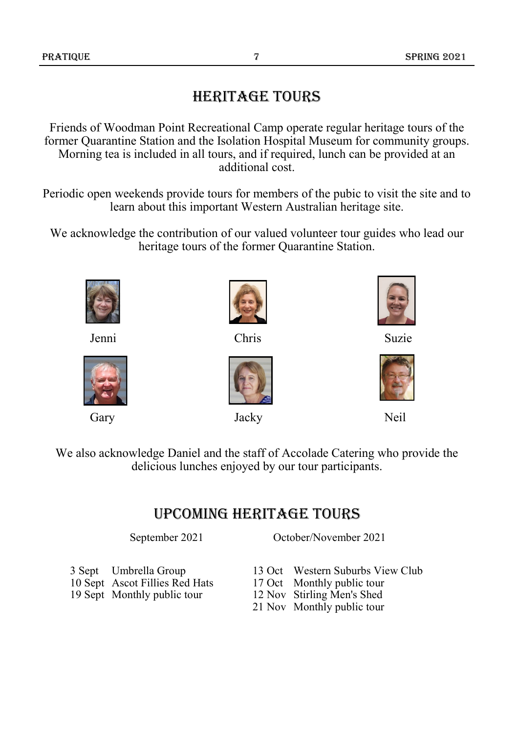# Heritage tours

Friends of Woodman Point Recreational Camp operate regular heritage tours of the former Quarantine Station and the Isolation Hospital Museum for community groups. Morning tea is included in all tours, and if required, lunch can be provided at an additional cost.

Periodic open weekends provide tours for members of the pubic to visit the site and to learn about this important Western Australian heritage site.

We acknowledge the contribution of our valued volunteer tour guides who lead our heritage tours of the former Quarantine Station.







Jenni Chris Suzie



Gary Jacky Neil





We also acknowledge Daniel and the staff of Accolade Catering who provide the delicious lunches enjoyed by our tour participants.

# Upcoming Heritage tours

September 2021 October/November 2021

- 3 Sept Umbrella Group
- 10 Sept Ascot Fillies Red Hats
- 19 Sept Monthly public tour
	-
- 13 Oct Western Suburbs View Club
- 17 Oct Monthly public tour
- 12 Nov Stirling Men's Shed
- 21 Nov Monthly public tour